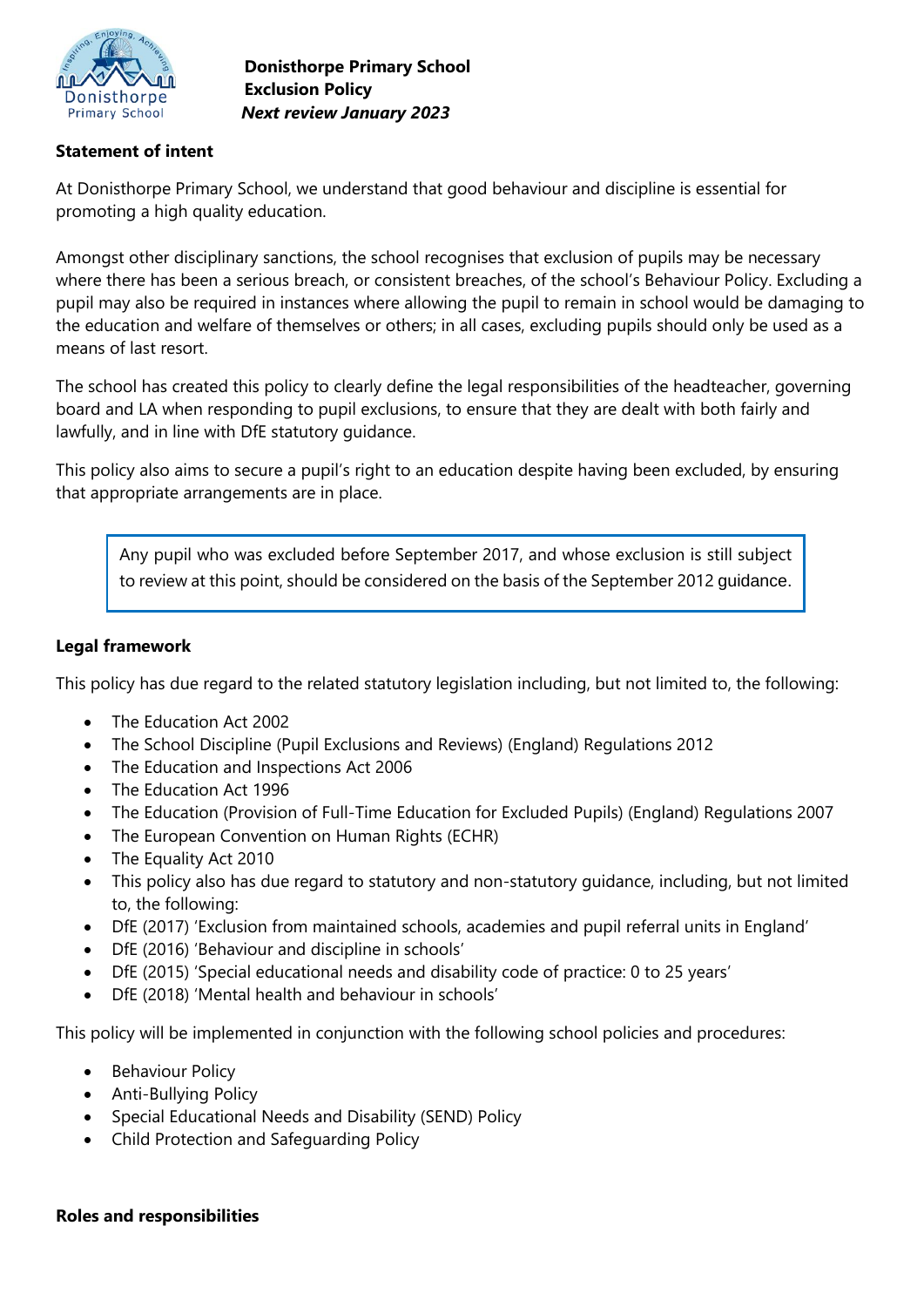

**Donisthorpe Primary School Exclusion Policy** *Next review January 2023*

### **Statement of intent**

At Donisthorpe Primary School, we understand that good behaviour and discipline is essential for promoting a high quality education.

Amongst other disciplinary sanctions, the school recognises that exclusion of pupils may be necessary where there has been a serious breach, or consistent breaches, of the school's Behaviour Policy. Excluding a pupil may also be required in instances where allowing the pupil to remain in school would be damaging to the education and welfare of themselves or others; in all cases, excluding pupils should only be used as a means of last resort.

The school has created this policy to clearly define the legal responsibilities of the headteacher, governing board and LA when responding to pupil exclusions, to ensure that they are dealt with both fairly and lawfully, and in line with DfE statutory guidance.

This policy also aims to secure a pupil's right to an education despite having been excluded, by ensuring that appropriate arrangements are in place.

Any pupil who was excluded before September 2017, and whose exclusion is still subject to review at this point, should be considered on the basis of the September 2012 guidance.

#### **Legal framework**

This policy has due regard to the related statutory legislation including, but not limited to, the following:

- The Education Act 2002
- The School Discipline (Pupil Exclusions and Reviews) (England) Regulations 2012
- The Education and Inspections Act 2006
- The Education Act 1996
- The Education (Provision of Full-Time Education for Excluded Pupils) (England) Regulations 2007
- The European Convention on Human Rights (ECHR)
- The Equality Act 2010
- This policy also has due regard to statutory and non-statutory guidance, including, but not limited to, the following:
- DfE (2017) 'Exclusion from maintained schools, academies and pupil referral units in England'
- DfE (2016) 'Behaviour and discipline in schools'
- DfE (2015) 'Special educational needs and disability code of practice: 0 to 25 years'
- DfE (2018) 'Mental health and behaviour in schools'

This policy will be implemented in conjunction with the following school policies and procedures:

- Behaviour Policy
- Anti-Bullying Policy
- Special Educational Needs and Disability (SEND) Policy
- Child Protection and Safeguarding Policy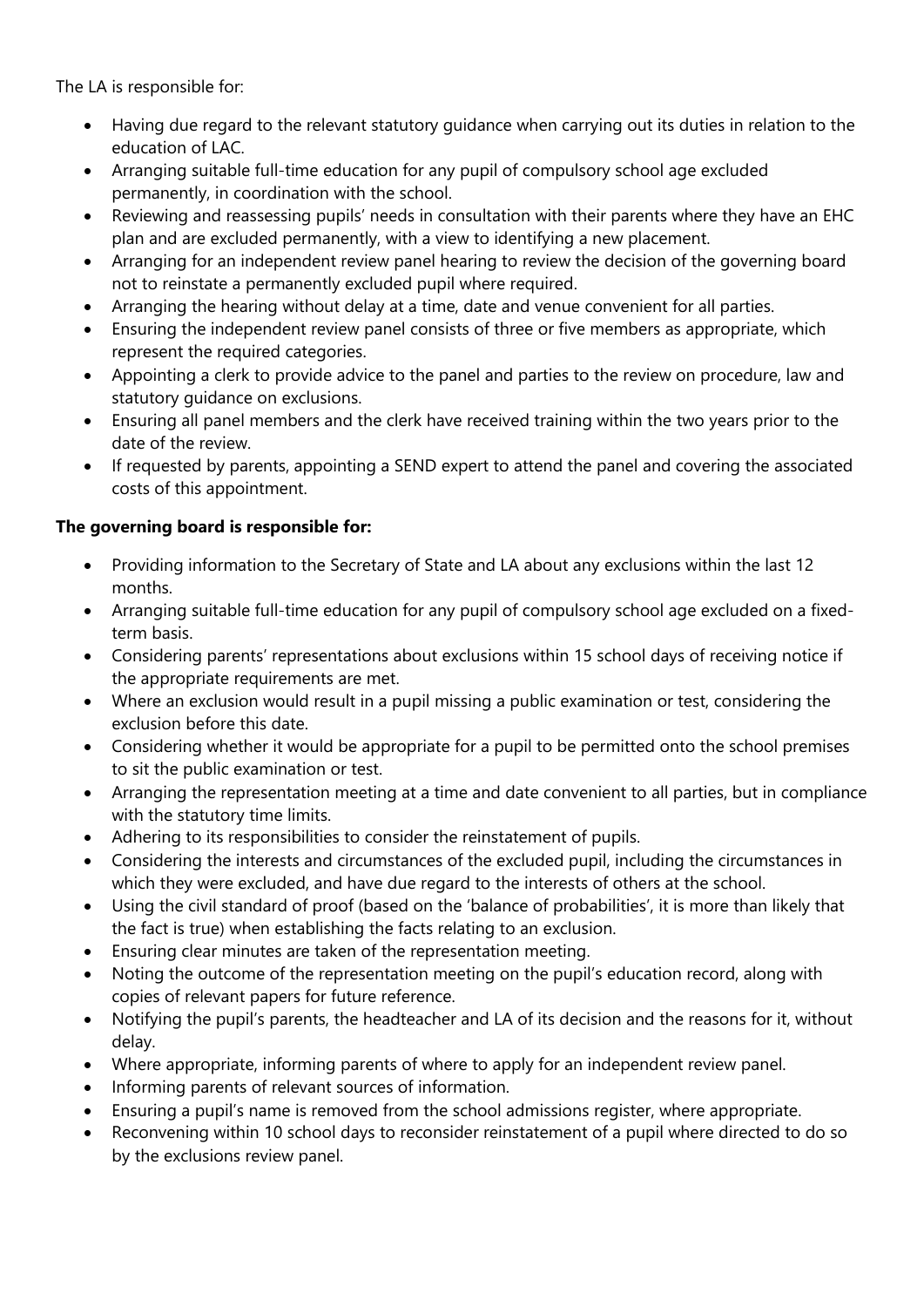The LA is responsible for:

- Having due regard to the relevant statutory guidance when carrying out its duties in relation to the education of LAC.
- Arranging suitable full-time education for any pupil of compulsory school age excluded permanently, in coordination with the school.
- Reviewing and reassessing pupils' needs in consultation with their parents where they have an EHC plan and are excluded permanently, with a view to identifying a new placement.
- Arranging for an independent review panel hearing to review the decision of the governing board not to reinstate a permanently excluded pupil where required.
- Arranging the hearing without delay at a time, date and venue convenient for all parties.
- Ensuring the independent review panel consists of three or five members as appropriate, which represent the required categories.
- Appointing a clerk to provide advice to the panel and parties to the review on procedure, law and statutory guidance on exclusions.
- Ensuring all panel members and the clerk have received training within the two years prior to the date of the review.
- If requested by parents, appointing a SEND expert to attend the panel and covering the associated costs of this appointment.

# **The governing board is responsible for:**

- Providing information to the Secretary of State and LA about any exclusions within the last 12 months.
- Arranging suitable full-time education for any pupil of compulsory school age excluded on a fixedterm basis.
- Considering parents' representations about exclusions within 15 school days of receiving notice if the appropriate requirements are met.
- Where an exclusion would result in a pupil missing a public examination or test, considering the exclusion before this date.
- Considering whether it would be appropriate for a pupil to be permitted onto the school premises to sit the public examination or test.
- Arranging the representation meeting at a time and date convenient to all parties, but in compliance with the statutory time limits.
- Adhering to its responsibilities to consider the reinstatement of pupils.
- Considering the interests and circumstances of the excluded pupil, including the circumstances in which they were excluded, and have due regard to the interests of others at the school.
- Using the civil standard of proof (based on the 'balance of probabilities', it is more than likely that the fact is true) when establishing the facts relating to an exclusion.
- Ensuring clear minutes are taken of the representation meeting.
- Noting the outcome of the representation meeting on the pupil's education record, along with copies of relevant papers for future reference.
- Notifying the pupil's parents, the headteacher and LA of its decision and the reasons for it, without delay.
- Where appropriate, informing parents of where to apply for an independent review panel.
- Informing parents of relevant sources of information.
- Ensuring a pupil's name is removed from the school admissions register, where appropriate.
- Reconvening within 10 school days to reconsider reinstatement of a pupil where directed to do so by the exclusions review panel.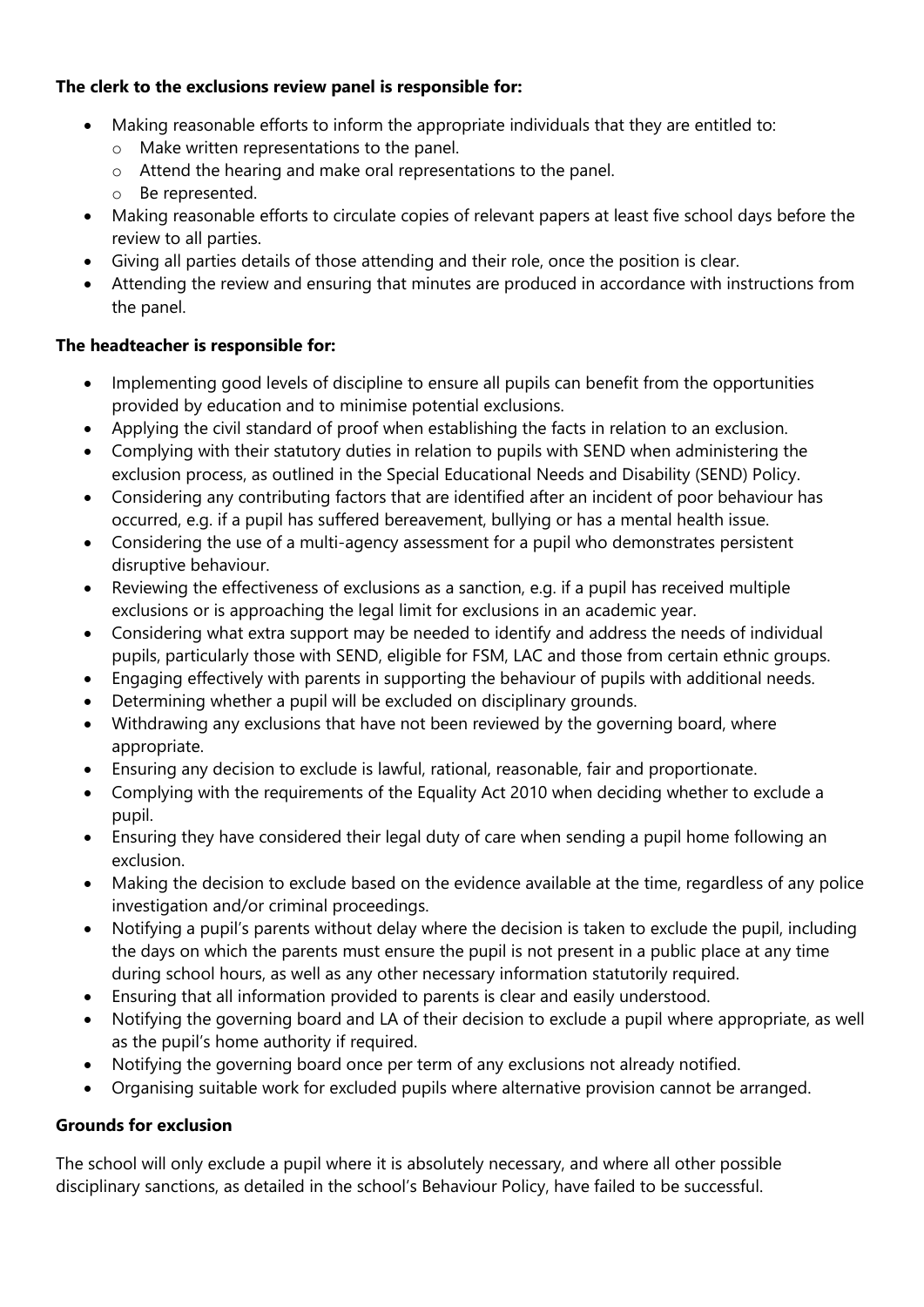### **The clerk to the exclusions review panel is responsible for:**

- Making reasonable efforts to inform the appropriate individuals that they are entitled to:
	- o Make written representations to the panel.
	- o Attend the hearing and make oral representations to the panel.
	- o Be represented.
- Making reasonable efforts to circulate copies of relevant papers at least five school days before the review to all parties.
- Giving all parties details of those attending and their role, once the position is clear.
- Attending the review and ensuring that minutes are produced in accordance with instructions from the panel.

# **The headteacher is responsible for:**

- Implementing good levels of discipline to ensure all pupils can benefit from the opportunities provided by education and to minimise potential exclusions.
- Applying the civil standard of proof when establishing the facts in relation to an exclusion.
- Complying with their statutory duties in relation to pupils with SEND when administering the exclusion process, as outlined in the Special Educational Needs and Disability (SEND) Policy.
- Considering any contributing factors that are identified after an incident of poor behaviour has occurred, e.g. if a pupil has suffered bereavement, bullying or has a mental health issue.
- Considering the use of a multi-agency assessment for a pupil who demonstrates persistent disruptive behaviour.
- Reviewing the effectiveness of exclusions as a sanction, e.g. if a pupil has received multiple exclusions or is approaching the legal limit for exclusions in an academic year.
- Considering what extra support may be needed to identify and address the needs of individual pupils, particularly those with SEND, eligible for FSM, LAC and those from certain ethnic groups.
- Engaging effectively with parents in supporting the behaviour of pupils with additional needs.
- Determining whether a pupil will be excluded on disciplinary grounds.
- Withdrawing any exclusions that have not been reviewed by the governing board, where appropriate.
- Ensuring any decision to exclude is lawful, rational, reasonable, fair and proportionate.
- Complying with the requirements of the Equality Act 2010 when deciding whether to exclude a pupil.
- Ensuring they have considered their legal duty of care when sending a pupil home following an exclusion.
- Making the decision to exclude based on the evidence available at the time, regardless of any police investigation and/or criminal proceedings.
- Notifying a pupil's parents without delay where the decision is taken to exclude the pupil, including the days on which the parents must ensure the pupil is not present in a public place at any time during school hours, as well as any other necessary information statutorily required.
- Ensuring that all information provided to parents is clear and easily understood.
- Notifying the governing board and LA of their decision to exclude a pupil where appropriate, as well as the pupil's home authority if required.
- Notifying the governing board once per term of any exclusions not already notified.
- Organising suitable work for excluded pupils where alternative provision cannot be arranged.

# **Grounds for exclusion**

The school will only exclude a pupil where it is absolutely necessary, and where all other possible disciplinary sanctions, as detailed in the school's Behaviour Policy, have failed to be successful.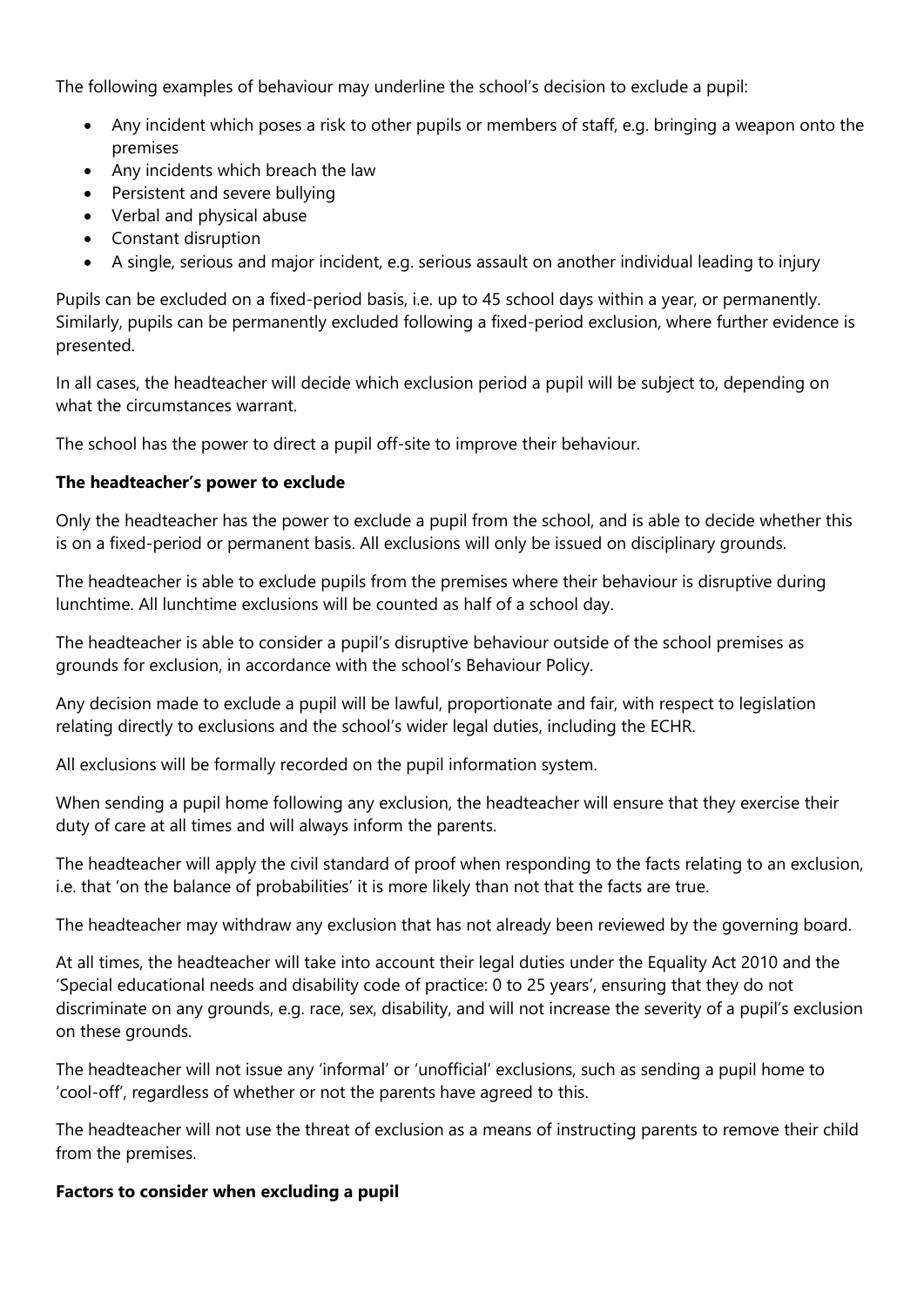The following examples of behaviour may underline the school's decision to exclude a pupil:

- Any incident which poses a risk to other pupils or members of staff, e.g. bringing a weapon onto the premises
- Any incidents which breach the law
- Persistent and severe bullying
- Verbal and physical abuse
- Constant disruption
- A single, serious and major incident, e.g. serious assault on another individual leading to injury

Pupils can be excluded on a fixed-period basis, i.e. up to 45 school days within a year, or permanently. Similarly, pupils can be permanently excluded following a fixed-period exclusion, where further evidence is presented.

In all cases, the headteacher will decide which exclusion period a pupil will be subject to, depending on what the circumstances warrant.

The school has the power to direct a pupil off-site to improve their behaviour.

#### **The headteacher's power to exclude**

Only the headteacher has the power to exclude a pupil from the school, and is able to decide whether this is on a fixed-period or permanent basis. All exclusions will only be issued on disciplinary grounds.

The headteacher is able to exclude pupils from the premises where their behaviour is disruptive during lunchtime. All lunchtime exclusions will be counted as half of a school day.

The headteacher is able to consider a pupil's disruptive behaviour outside of the school premises as grounds for exclusion, in accordance with the school's Behaviour Policy.

Any decision made to exclude a pupil will be lawful, proportionate and fair, with respect to legislation relating directly to exclusions and the school's wider legal duties, including the ECHR.

All exclusions will be formally recorded on the pupil information system.

When sending a pupil home following any exclusion, the headteacher will ensure that they exercise their duty of care at all times and will always inform the parents.

The headteacher will apply the civil standard of proof when responding to the facts relating to an exclusion, i.e. that 'on the balance of probabilities' it is more likely than not that the facts are true.

The headteacher may withdraw any exclusion that has not already been reviewed by the governing board.

At all times, the headteacher will take into account their legal duties under the Equality Act 2010 and the 'Special educational needs and disability code of practice: 0 to 25 years', ensuring that they do not discriminate on any grounds, e.g. race, sex, disability, and will not increase the severity of a pupil's exclusion on these grounds.

The headteacher will not issue any 'informal' or 'unofficial' exclusions, such as sending a pupil home to 'cool-off', regardless of whether or not the parents have agreed to this.

The headteacher will not use the threat of exclusion as a means of instructing parents to remove their child from the premises.

#### **Factors to consider when excluding a pupil**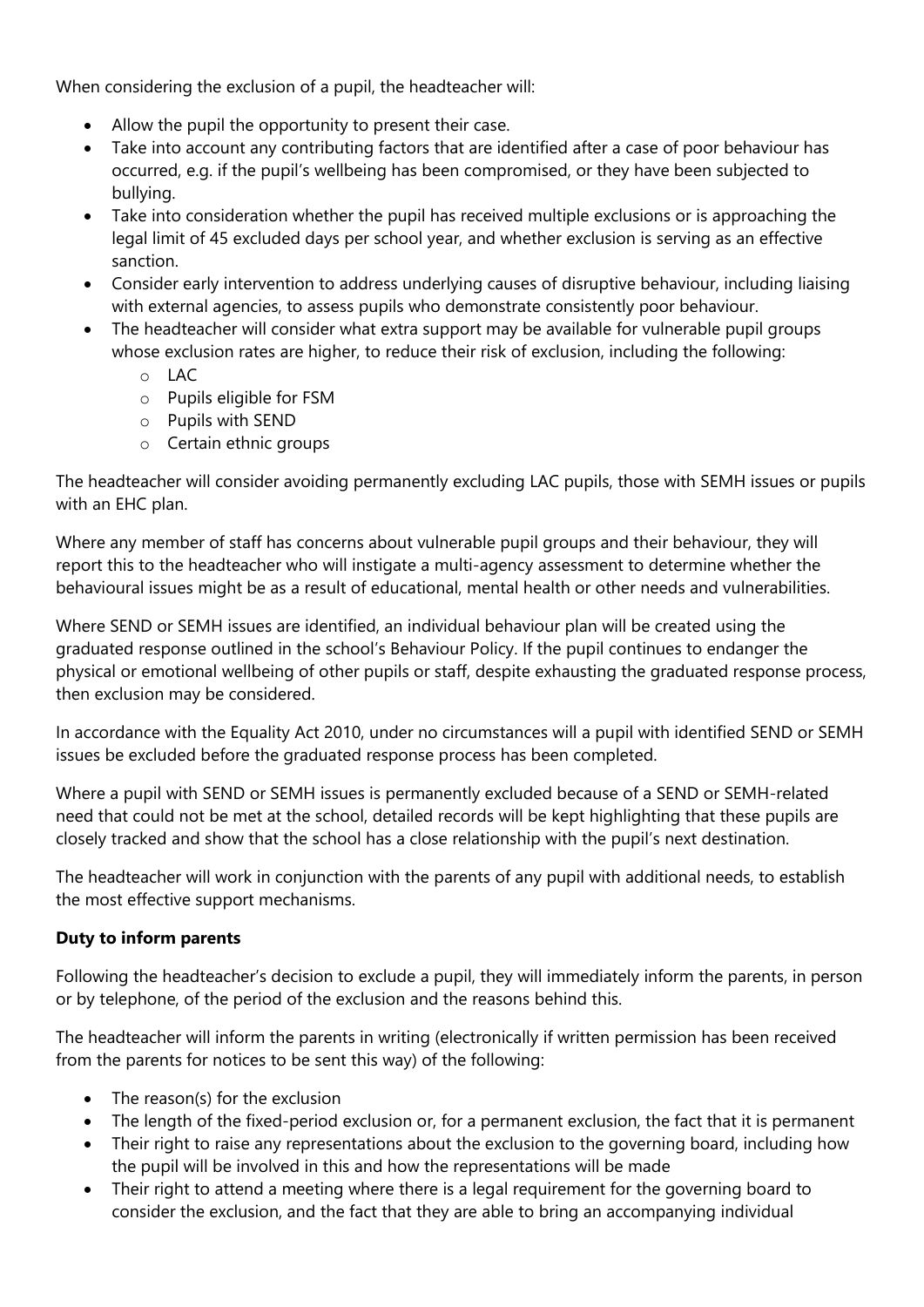When considering the exclusion of a pupil, the headteacher will:

- Allow the pupil the opportunity to present their case.
- Take into account any contributing factors that are identified after a case of poor behaviour has occurred, e.g. if the pupil's wellbeing has been compromised, or they have been subjected to bullying.
- Take into consideration whether the pupil has received multiple exclusions or is approaching the legal limit of 45 excluded days per school year, and whether exclusion is serving as an effective sanction.
- Consider early intervention to address underlying causes of disruptive behaviour, including liaising with external agencies, to assess pupils who demonstrate consistently poor behaviour.
- The headteacher will consider what extra support may be available for vulnerable pupil groups whose exclusion rates are higher, to reduce their risk of exclusion, including the following:
	- o LAC
	- o Pupils eligible for FSM
	- o Pupils with SEND
	- o Certain ethnic groups

The headteacher will consider avoiding permanently excluding LAC pupils, those with SEMH issues or pupils with an EHC plan.

Where any member of staff has concerns about vulnerable pupil groups and their behaviour, they will report this to the headteacher who will instigate a multi-agency assessment to determine whether the behavioural issues might be as a result of educational, mental health or other needs and vulnerabilities.

Where SEND or SEMH issues are identified, an individual behaviour plan will be created using the graduated response outlined in the school's Behaviour Policy. If the pupil continues to endanger the physical or emotional wellbeing of other pupils or staff, despite exhausting the graduated response process, then exclusion may be considered.

In accordance with the Equality Act 2010, under no circumstances will a pupil with identified SEND or SEMH issues be excluded before the graduated response process has been completed.

Where a pupil with SEND or SEMH issues is permanently excluded because of a SEND or SEMH-related need that could not be met at the school, detailed records will be kept highlighting that these pupils are closely tracked and show that the school has a close relationship with the pupil's next destination.

The headteacher will work in conjunction with the parents of any pupil with additional needs, to establish the most effective support mechanisms.

# **Duty to inform parents**

Following the headteacher's decision to exclude a pupil, they will immediately inform the parents, in person or by telephone, of the period of the exclusion and the reasons behind this.

The headteacher will inform the parents in writing (electronically if written permission has been received from the parents for notices to be sent this way) of the following:

- The reason(s) for the exclusion
- The length of the fixed-period exclusion or, for a permanent exclusion, the fact that it is permanent
- Their right to raise any representations about the exclusion to the governing board, including how the pupil will be involved in this and how the representations will be made
- Their right to attend a meeting where there is a legal requirement for the governing board to consider the exclusion, and the fact that they are able to bring an accompanying individual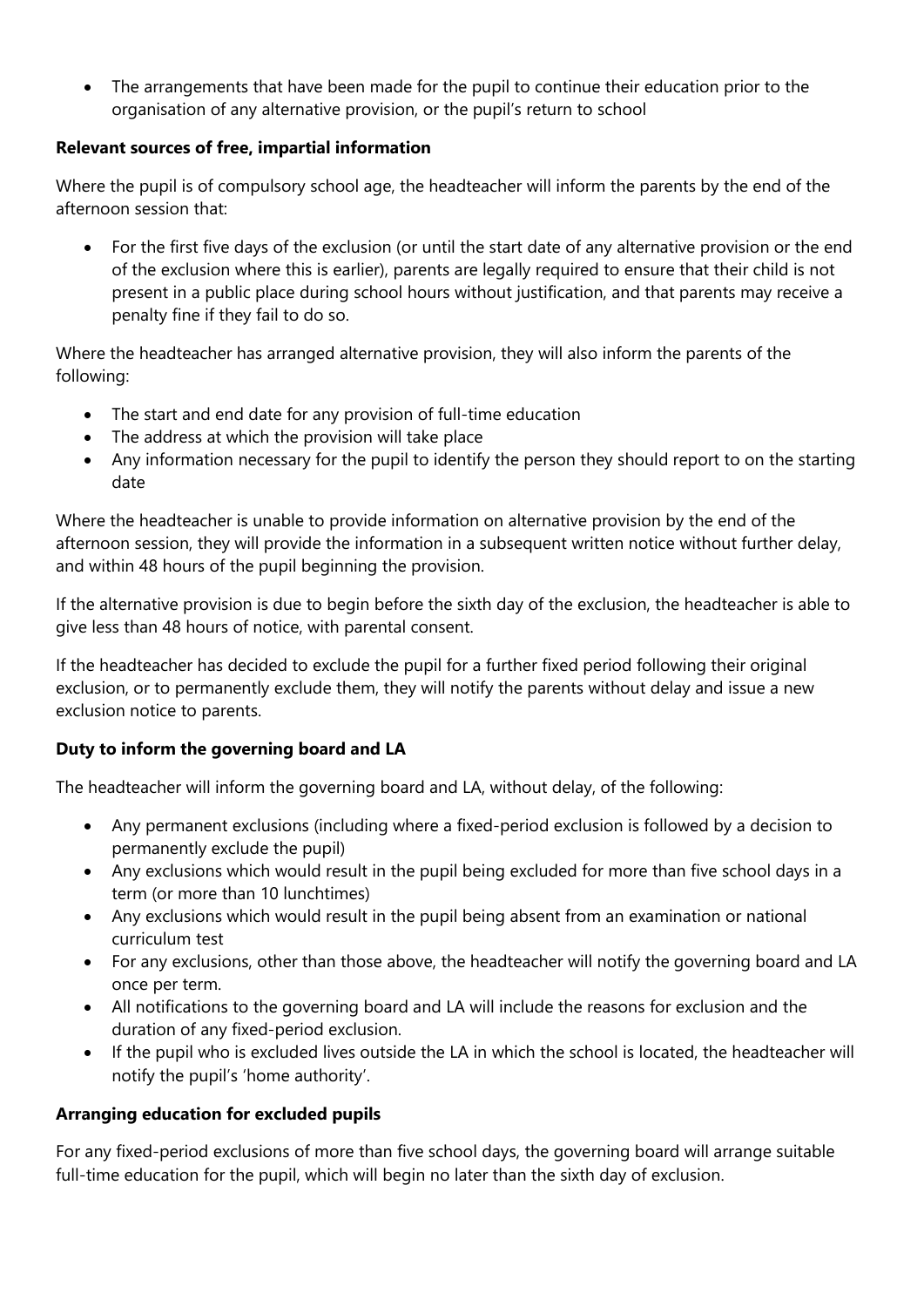The arrangements that have been made for the pupil to continue their education prior to the organisation of any alternative provision, or the pupil's return to school

### **Relevant sources of free, impartial information**

Where the pupil is of compulsory school age, the headteacher will inform the parents by the end of the afternoon session that:

 For the first five days of the exclusion (or until the start date of any alternative provision or the end of the exclusion where this is earlier), parents are legally required to ensure that their child is not present in a public place during school hours without justification, and that parents may receive a penalty fine if they fail to do so.

Where the headteacher has arranged alternative provision, they will also inform the parents of the following:

- The start and end date for any provision of full-time education
- The address at which the provision will take place
- Any information necessary for the pupil to identify the person they should report to on the starting date

Where the headteacher is unable to provide information on alternative provision by the end of the afternoon session, they will provide the information in a subsequent written notice without further delay, and within 48 hours of the pupil beginning the provision.

If the alternative provision is due to begin before the sixth day of the exclusion, the headteacher is able to give less than 48 hours of notice, with parental consent.

If the headteacher has decided to exclude the pupil for a further fixed period following their original exclusion, or to permanently exclude them, they will notify the parents without delay and issue a new exclusion notice to parents.

# **Duty to inform the governing board and LA**

The headteacher will inform the governing board and LA, without delay, of the following:

- Any permanent exclusions (including where a fixed-period exclusion is followed by a decision to permanently exclude the pupil)
- Any exclusions which would result in the pupil being excluded for more than five school days in a term (or more than 10 lunchtimes)
- Any exclusions which would result in the pupil being absent from an examination or national curriculum test
- For any exclusions, other than those above, the headteacher will notify the governing board and LA once per term.
- All notifications to the governing board and LA will include the reasons for exclusion and the duration of any fixed-period exclusion.
- If the pupil who is excluded lives outside the LA in which the school is located, the headteacher will notify the pupil's 'home authority'.

# **Arranging education for excluded pupils**

For any fixed-period exclusions of more than five school days, the governing board will arrange suitable full-time education for the pupil, which will begin no later than the sixth day of exclusion.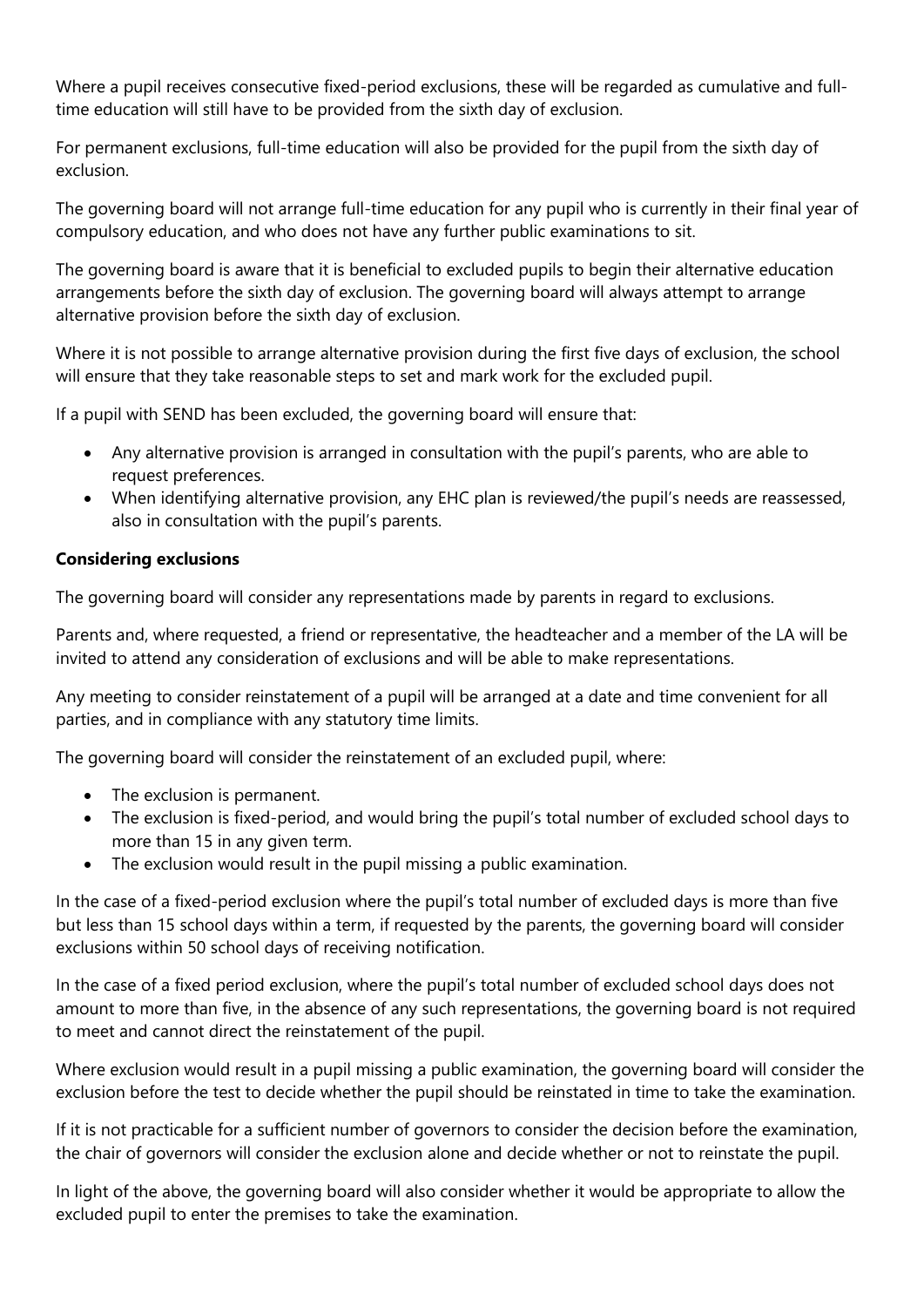Where a pupil receives consecutive fixed-period exclusions, these will be regarded as cumulative and fulltime education will still have to be provided from the sixth day of exclusion.

For permanent exclusions, full-time education will also be provided for the pupil from the sixth day of exclusion.

The governing board will not arrange full-time education for any pupil who is currently in their final year of compulsory education, and who does not have any further public examinations to sit.

The governing board is aware that it is beneficial to excluded pupils to begin their alternative education arrangements before the sixth day of exclusion. The governing board will always attempt to arrange alternative provision before the sixth day of exclusion.

Where it is not possible to arrange alternative provision during the first five days of exclusion, the school will ensure that they take reasonable steps to set and mark work for the excluded pupil.

If a pupil with SEND has been excluded, the governing board will ensure that:

- Any alternative provision is arranged in consultation with the pupil's parents, who are able to request preferences.
- When identifying alternative provision, any EHC plan is reviewed/the pupil's needs are reassessed, also in consultation with the pupil's parents.

### **Considering exclusions**

The governing board will consider any representations made by parents in regard to exclusions.

Parents and, where requested, a friend or representative, the headteacher and a member of the LA will be invited to attend any consideration of exclusions and will be able to make representations.

Any meeting to consider reinstatement of a pupil will be arranged at a date and time convenient for all parties, and in compliance with any statutory time limits.

The governing board will consider the reinstatement of an excluded pupil, where:

- The exclusion is permanent.
- The exclusion is fixed-period, and would bring the pupil's total number of excluded school days to more than 15 in any given term.
- The exclusion would result in the pupil missing a public examination.

In the case of a fixed-period exclusion where the pupil's total number of excluded days is more than five but less than 15 school days within a term, if requested by the parents, the governing board will consider exclusions within 50 school days of receiving notification.

In the case of a fixed period exclusion, where the pupil's total number of excluded school days does not amount to more than five, in the absence of any such representations, the governing board is not required to meet and cannot direct the reinstatement of the pupil.

Where exclusion would result in a pupil missing a public examination, the governing board will consider the exclusion before the test to decide whether the pupil should be reinstated in time to take the examination.

If it is not practicable for a sufficient number of governors to consider the decision before the examination, the chair of governors will consider the exclusion alone and decide whether or not to reinstate the pupil.

In light of the above, the governing board will also consider whether it would be appropriate to allow the excluded pupil to enter the premises to take the examination.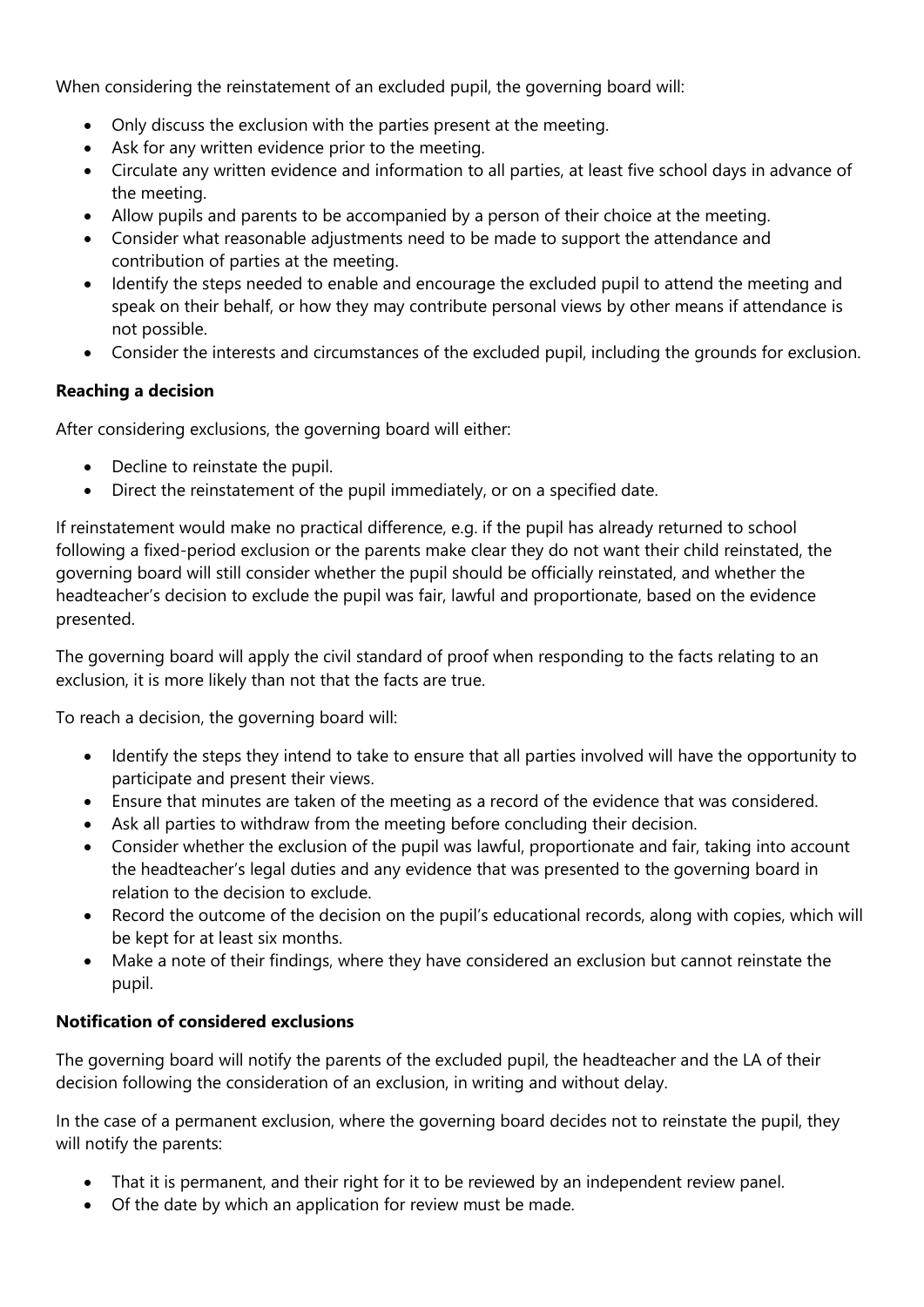When considering the reinstatement of an excluded pupil, the governing board will:

- Only discuss the exclusion with the parties present at the meeting.
- Ask for any written evidence prior to the meeting.
- Circulate any written evidence and information to all parties, at least five school days in advance of the meeting.
- Allow pupils and parents to be accompanied by a person of their choice at the meeting.
- Consider what reasonable adjustments need to be made to support the attendance and contribution of parties at the meeting.
- Identify the steps needed to enable and encourage the excluded pupil to attend the meeting and speak on their behalf, or how they may contribute personal views by other means if attendance is not possible.
- Consider the interests and circumstances of the excluded pupil, including the grounds for exclusion.

### **Reaching a decision**

After considering exclusions, the governing board will either:

- Decline to reinstate the pupil.
- Direct the reinstatement of the pupil immediately, or on a specified date.

If reinstatement would make no practical difference, e.g. if the pupil has already returned to school following a fixed-period exclusion or the parents make clear they do not want their child reinstated, the governing board will still consider whether the pupil should be officially reinstated, and whether the headteacher's decision to exclude the pupil was fair, lawful and proportionate, based on the evidence presented.

The governing board will apply the civil standard of proof when responding to the facts relating to an exclusion, it is more likely than not that the facts are true.

To reach a decision, the governing board will:

- Identify the steps they intend to take to ensure that all parties involved will have the opportunity to participate and present their views.
- Ensure that minutes are taken of the meeting as a record of the evidence that was considered.
- Ask all parties to withdraw from the meeting before concluding their decision.
- Consider whether the exclusion of the pupil was lawful, proportionate and fair, taking into account the headteacher's legal duties and any evidence that was presented to the governing board in relation to the decision to exclude.
- Record the outcome of the decision on the pupil's educational records, along with copies, which will be kept for at least six months.
- Make a note of their findings, where they have considered an exclusion but cannot reinstate the pupil.

### **Notification of considered exclusions**

The governing board will notify the parents of the excluded pupil, the headteacher and the LA of their decision following the consideration of an exclusion, in writing and without delay.

In the case of a permanent exclusion, where the governing board decides not to reinstate the pupil, they will notify the parents:

- That it is permanent, and their right for it to be reviewed by an independent review panel.
- Of the date by which an application for review must be made.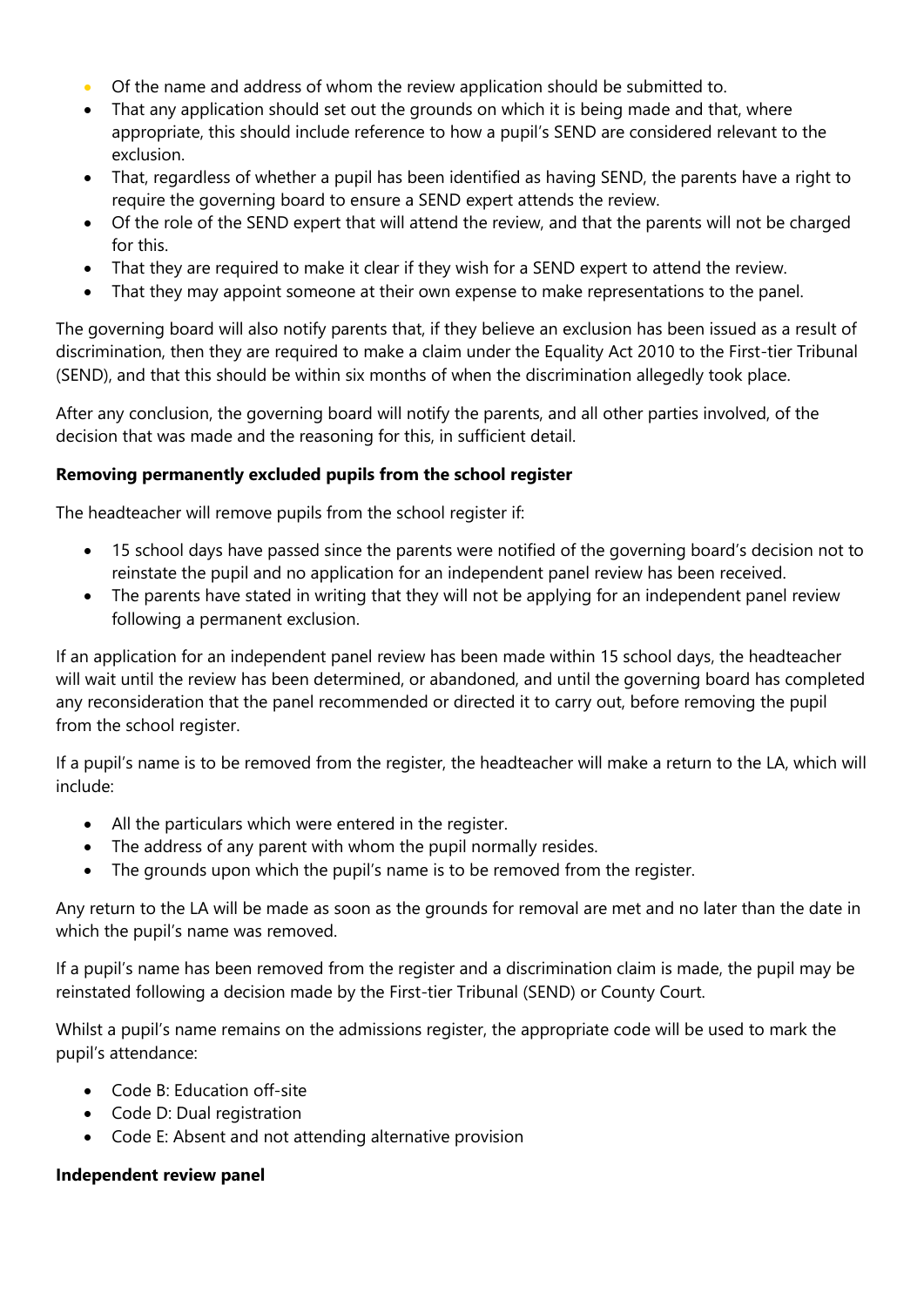- Of the name and address of whom the review application should be submitted to.
- That any application should set out the grounds on which it is being made and that, where appropriate, this should include reference to how a pupil's SEND are considered relevant to the exclusion.
- That, regardless of whether a pupil has been identified as having SEND, the parents have a right to require the governing board to ensure a SEND expert attends the review.
- Of the role of the SEND expert that will attend the review, and that the parents will not be charged for this.
- That they are required to make it clear if they wish for a SEND expert to attend the review.
- That they may appoint someone at their own expense to make representations to the panel.

The governing board will also notify parents that, if they believe an exclusion has been issued as a result of discrimination, then they are required to make a claim under the Equality Act 2010 to the First-tier Tribunal (SEND), and that this should be within six months of when the discrimination allegedly took place.

After any conclusion, the governing board will notify the parents, and all other parties involved, of the decision that was made and the reasoning for this, in sufficient detail.

### **Removing permanently excluded pupils from the school register**

The headteacher will remove pupils from the school register if:

- 15 school days have passed since the parents were notified of the governing board's decision not to reinstate the pupil and no application for an independent panel review has been received.
- The parents have stated in writing that they will not be applying for an independent panel review following a permanent exclusion.

If an application for an independent panel review has been made within 15 school days, the headteacher will wait until the review has been determined, or abandoned, and until the governing board has completed any reconsideration that the panel recommended or directed it to carry out, before removing the pupil from the school register.

If a pupil's name is to be removed from the register, the headteacher will make a return to the LA, which will include:

- All the particulars which were entered in the register.
- The address of any parent with whom the pupil normally resides.
- The grounds upon which the pupil's name is to be removed from the register.

Any return to the LA will be made as soon as the grounds for removal are met and no later than the date in which the pupil's name was removed.

If a pupil's name has been removed from the register and a discrimination claim is made, the pupil may be reinstated following a decision made by the First-tier Tribunal (SEND) or County Court.

Whilst a pupil's name remains on the admissions register, the appropriate code will be used to mark the pupil's attendance:

- Code B: Education off-site
- Code D: Dual registration
- Code E: Absent and not attending alternative provision

#### **Independent review panel**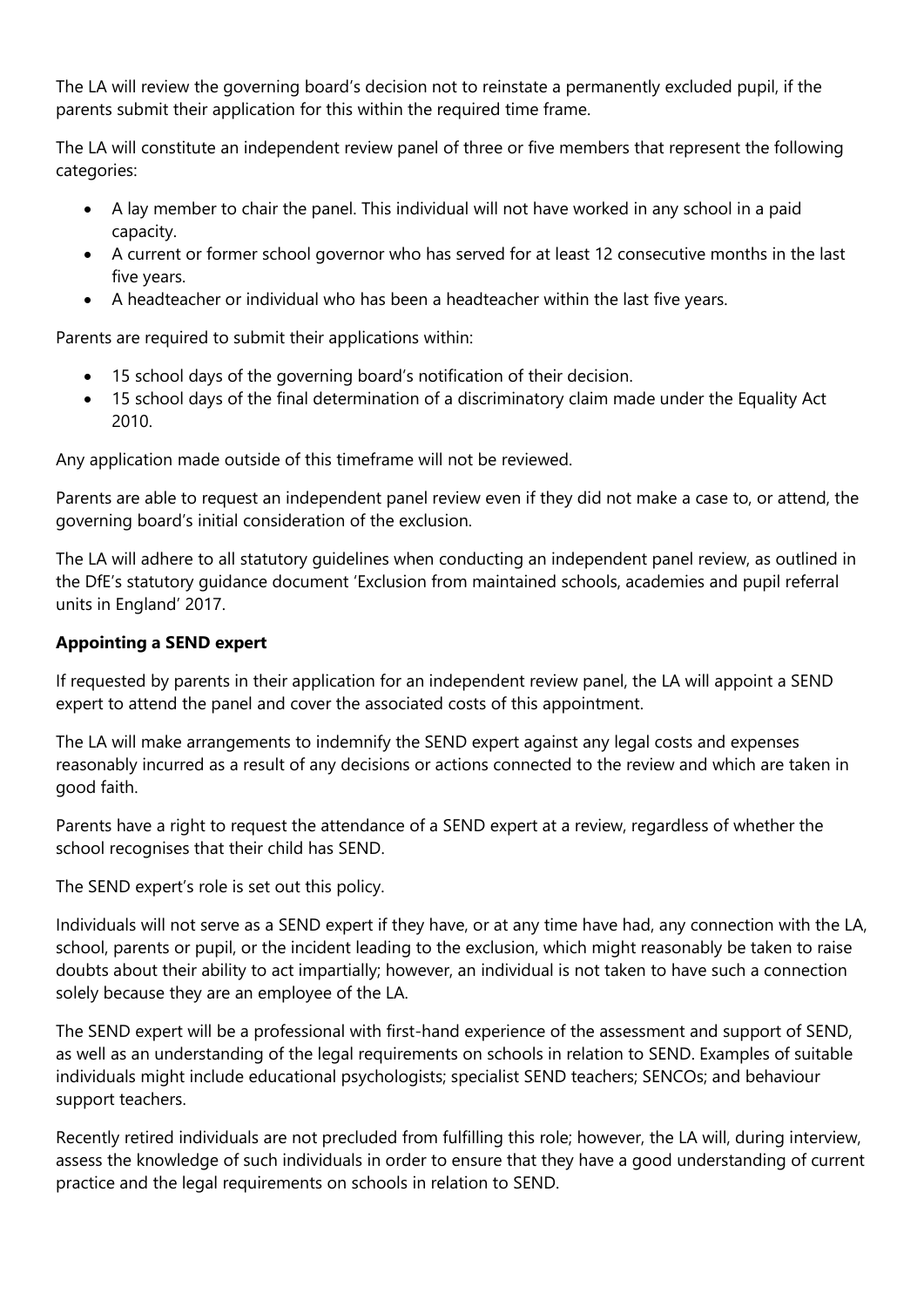The LA will review the governing board's decision not to reinstate a permanently excluded pupil, if the parents submit their application for this within the required time frame.

The LA will constitute an independent review panel of three or five members that represent the following categories:

- A lay member to chair the panel. This individual will not have worked in any school in a paid capacity.
- A current or former school governor who has served for at least 12 consecutive months in the last five years.
- A headteacher or individual who has been a headteacher within the last five years.

Parents are required to submit their applications within:

- 15 school days of the governing board's notification of their decision.
- 15 school days of the final determination of a discriminatory claim made under the Equality Act 2010.

Any application made outside of this timeframe will not be reviewed.

Parents are able to request an independent panel review even if they did not make a case to, or attend, the governing board's initial consideration of the exclusion.

The LA will adhere to all statutory guidelines when conducting an independent panel review, as outlined in the DfE's statutory guidance document 'Exclusion from maintained schools, academies and pupil referral units in England' 2017.

# **Appointing a SEND expert**

If requested by parents in their application for an independent review panel, the LA will appoint a SEND expert to attend the panel and cover the associated costs of this appointment.

The LA will make arrangements to indemnify the SEND expert against any legal costs and expenses reasonably incurred as a result of any decisions or actions connected to the review and which are taken in good faith.

Parents have a right to request the attendance of a SEND expert at a review, regardless of whether the school recognises that their child has SEND.

The SEND expert's role is set out this policy.

Individuals will not serve as a SEND expert if they have, or at any time have had, any connection with the LA, school, parents or pupil, or the incident leading to the exclusion, which might reasonably be taken to raise doubts about their ability to act impartially; however, an individual is not taken to have such a connection solely because they are an employee of the LA.

The SEND expert will be a professional with first-hand experience of the assessment and support of SEND, as well as an understanding of the legal requirements on schools in relation to SEND. Examples of suitable individuals might include educational psychologists; specialist SEND teachers; SENCOs; and behaviour support teachers.

Recently retired individuals are not precluded from fulfilling this role; however, the LA will, during interview, assess the knowledge of such individuals in order to ensure that they have a good understanding of current practice and the legal requirements on schools in relation to SEND.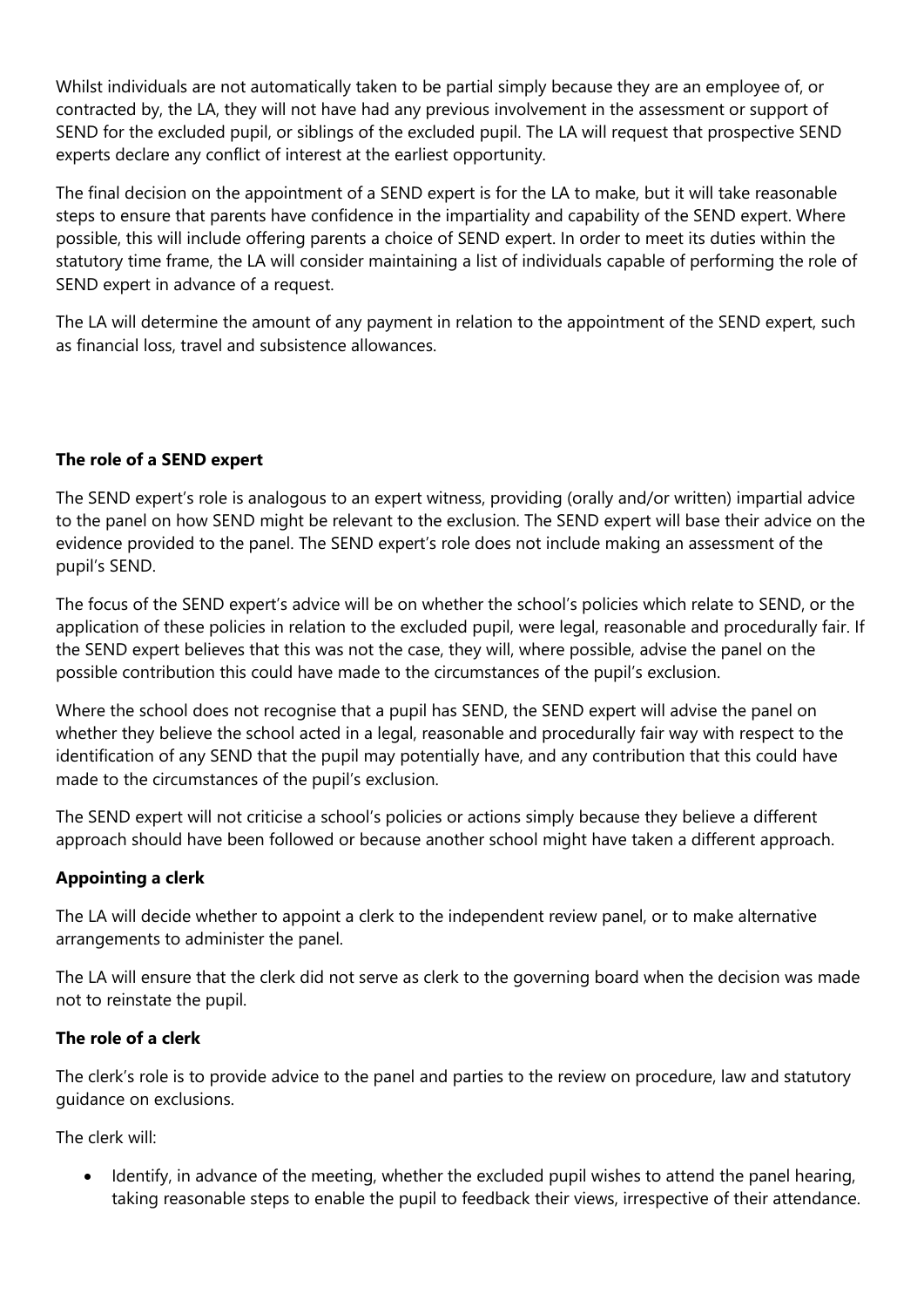Whilst individuals are not automatically taken to be partial simply because they are an employee of, or contracted by, the LA, they will not have had any previous involvement in the assessment or support of SEND for the excluded pupil, or siblings of the excluded pupil. The LA will request that prospective SEND experts declare any conflict of interest at the earliest opportunity.

The final decision on the appointment of a SEND expert is for the LA to make, but it will take reasonable steps to ensure that parents have confidence in the impartiality and capability of the SEND expert. Where possible, this will include offering parents a choice of SEND expert. In order to meet its duties within the statutory time frame, the LA will consider maintaining a list of individuals capable of performing the role of SEND expert in advance of a request.

The LA will determine the amount of any payment in relation to the appointment of the SEND expert, such as financial loss, travel and subsistence allowances.

### **The role of a SEND expert**

The SEND expert's role is analogous to an expert witness, providing (orally and/or written) impartial advice to the panel on how SEND might be relevant to the exclusion. The SEND expert will base their advice on the evidence provided to the panel. The SEND expert's role does not include making an assessment of the pupil's SEND.

The focus of the SEND expert's advice will be on whether the school's policies which relate to SEND, or the application of these policies in relation to the excluded pupil, were legal, reasonable and procedurally fair. If the SEND expert believes that this was not the case, they will, where possible, advise the panel on the possible contribution this could have made to the circumstances of the pupil's exclusion.

Where the school does not recognise that a pupil has SEND, the SEND expert will advise the panel on whether they believe the school acted in a legal, reasonable and procedurally fair way with respect to the identification of any SEND that the pupil may potentially have, and any contribution that this could have made to the circumstances of the pupil's exclusion.

The SEND expert will not criticise a school's policies or actions simply because they believe a different approach should have been followed or because another school might have taken a different approach.

### **Appointing a clerk**

The LA will decide whether to appoint a clerk to the independent review panel, or to make alternative arrangements to administer the panel.

The LA will ensure that the clerk did not serve as clerk to the governing board when the decision was made not to reinstate the pupil.

### **The role of a clerk**

The clerk's role is to provide advice to the panel and parties to the review on procedure, law and statutory guidance on exclusions.

The clerk will:

 Identify, in advance of the meeting, whether the excluded pupil wishes to attend the panel hearing, taking reasonable steps to enable the pupil to feedback their views, irrespective of their attendance.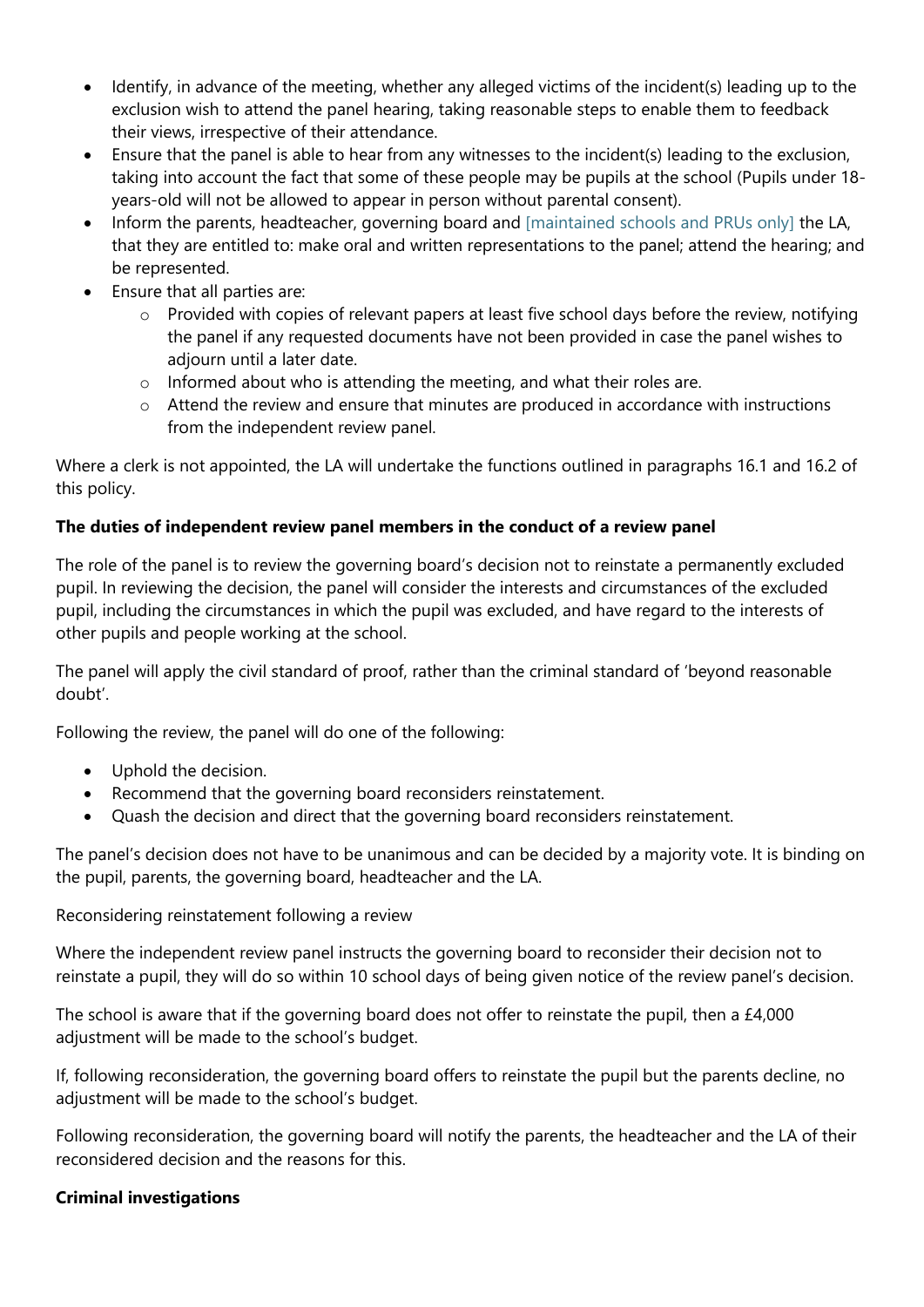- Identify, in advance of the meeting, whether any alleged victims of the incident(s) leading up to the exclusion wish to attend the panel hearing, taking reasonable steps to enable them to feedback their views, irrespective of their attendance.
- Ensure that the panel is able to hear from any witnesses to the incident(s) leading to the exclusion, taking into account the fact that some of these people may be pupils at the school (Pupils under 18 years-old will not be allowed to appear in person without parental consent).
- Inform the parents, headteacher, governing board and [maintained schools and PRUs only] the LA, that they are entitled to: make oral and written representations to the panel; attend the hearing; and be represented.
- Ensure that all parties are:
	- o Provided with copies of relevant papers at least five school days before the review, notifying the panel if any requested documents have not been provided in case the panel wishes to adjourn until a later date.
	- o Informed about who is attending the meeting, and what their roles are.
	- $\circ$  Attend the review and ensure that minutes are produced in accordance with instructions from the independent review panel.

Where a clerk is not appointed, the LA will undertake the functions outlined in paragraphs 16.1 and 16.2 of this policy.

### **The duties of independent review panel members in the conduct of a review panel**

The role of the panel is to review the governing board's decision not to reinstate a permanently excluded pupil. In reviewing the decision, the panel will consider the interests and circumstances of the excluded pupil, including the circumstances in which the pupil was excluded, and have regard to the interests of other pupils and people working at the school.

The panel will apply the civil standard of proof, rather than the criminal standard of 'beyond reasonable doubt'.

Following the review, the panel will do one of the following:

- Uphold the decision.
- Recommend that the governing board reconsiders reinstatement.
- Quash the decision and direct that the governing board reconsiders reinstatement.

The panel's decision does not have to be unanimous and can be decided by a majority vote. It is binding on the pupil, parents, the governing board, headteacher and the LA.

### Reconsidering reinstatement following a review

Where the independent review panel instructs the governing board to reconsider their decision not to reinstate a pupil, they will do so within 10 school days of being given notice of the review panel's decision.

The school is aware that if the governing board does not offer to reinstate the pupil, then a £4,000 adjustment will be made to the school's budget.

If, following reconsideration, the governing board offers to reinstate the pupil but the parents decline, no adjustment will be made to the school's budget.

Following reconsideration, the governing board will notify the parents, the headteacher and the LA of their reconsidered decision and the reasons for this.

### **Criminal investigations**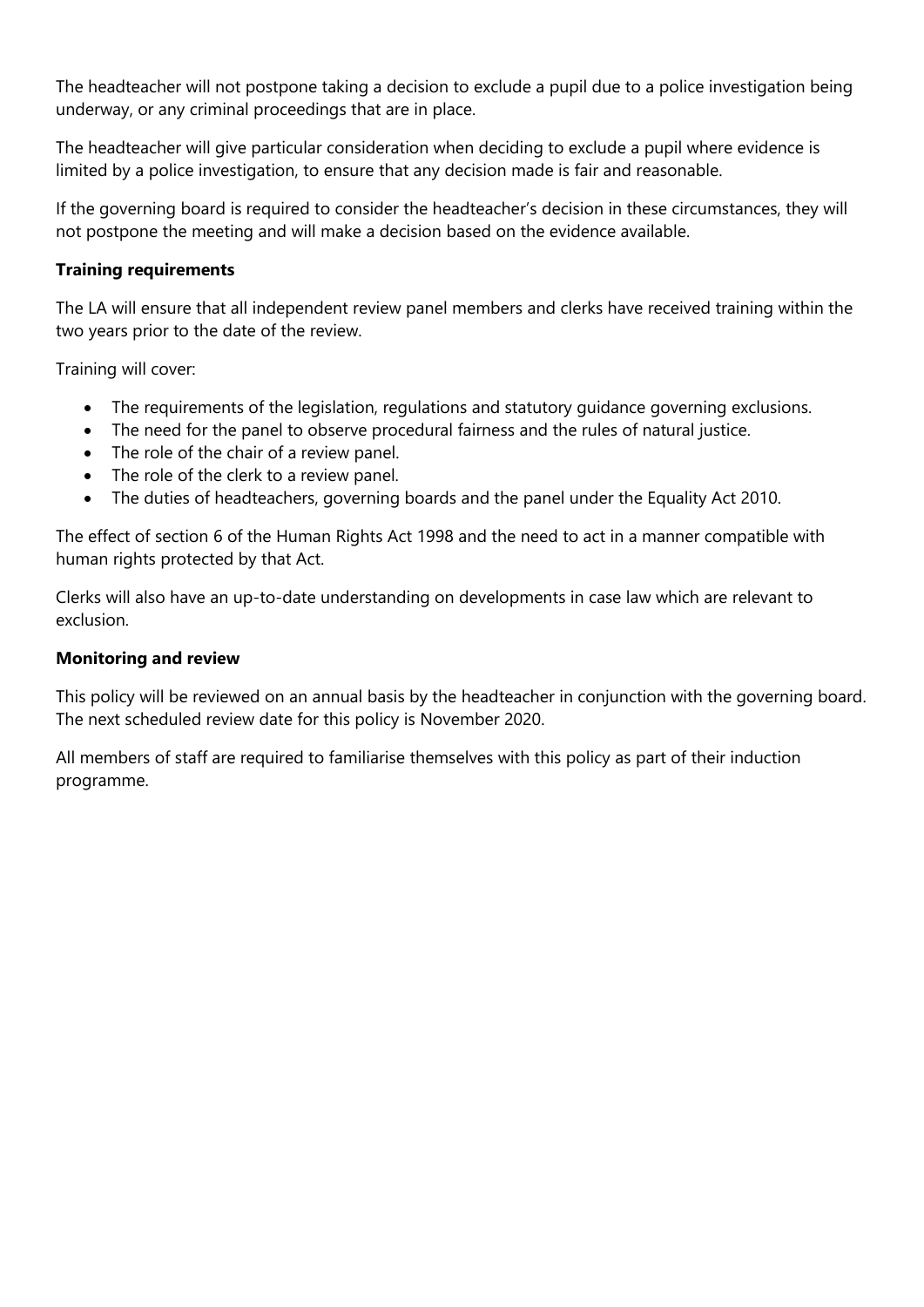The headteacher will not postpone taking a decision to exclude a pupil due to a police investigation being underway, or any criminal proceedings that are in place.

The headteacher will give particular consideration when deciding to exclude a pupil where evidence is limited by a police investigation, to ensure that any decision made is fair and reasonable.

If the governing board is required to consider the headteacher's decision in these circumstances, they will not postpone the meeting and will make a decision based on the evidence available.

### **Training requirements**

The LA will ensure that all independent review panel members and clerks have received training within the two years prior to the date of the review.

Training will cover:

- The requirements of the legislation, regulations and statutory guidance governing exclusions.
- The need for the panel to observe procedural fairness and the rules of natural justice.
- The role of the chair of a review panel.
- The role of the clerk to a review panel.
- The duties of headteachers, governing boards and the panel under the Equality Act 2010.

The effect of section 6 of the Human Rights Act 1998 and the need to act in a manner compatible with human rights protected by that Act.

Clerks will also have an up-to-date understanding on developments in case law which are relevant to exclusion.

#### **Monitoring and review**

This policy will be reviewed on an annual basis by the headteacher in conjunction with the governing board. The next scheduled review date for this policy is November 2020.

All members of staff are required to familiarise themselves with this policy as part of their induction programme.